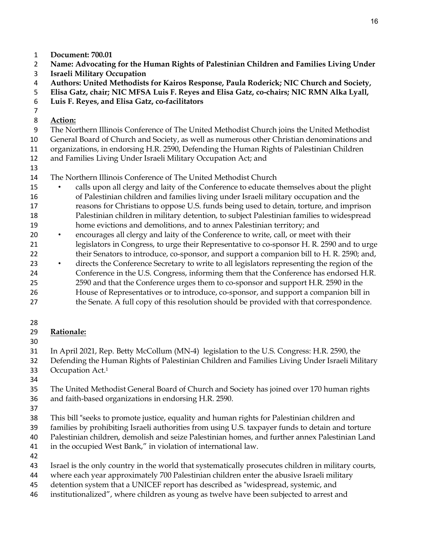- **Document: 700.01**
- **Name: Advocating for the Human Rights of Palestinian Children and Families Living Under**
- **Israeli Military Occupation**
- **Authors: United Methodists for Kairos Response, Paula Roderick; NIC Church and Society,**
- **Elisa Gatz, chair; NIC MFSA Luis F. Reyes and Elisa Gatz, co-chairs; NIC RMN Alka Lyall,**
- **Luis F. Reyes, and Elisa Gatz, co-facilitators**
- 

## **Action:**

The Northern Illinois Conference of The United Methodist Church joins the United Methodist

General Board of Church and Society, as well as numerous other Christian denominations and

organizations, in endorsing H.R. 2590, Defending the Human Rights of Palestinian Children

- and Families Living Under Israeli Military Occupation Act; and
- 

The Northern Illinois Conference of The United Methodist Church

- calls upon all clergy and laity of the Conference to educate themselves about the plight of Palestinian children and families living under Israeli military occupation and the reasons for Christians to oppose U.S. funds being used to detain, torture, and imprison Palestinian children in military detention, to subject Palestinian families to widespread home evictions and demolitions, and to annex Palestinian territory; and
- encourages all clergy and laity of the Conference to write, call, or meet with their legislators in Congress, to urge their Representative to co-sponsor H. R. 2590 and to urge 22 their Senators to introduce, co-sponsor, and support a companion bill to H. R. 2590; and,
- directs the Conference Secretary to write to all legislators representing the region of the Conference in the U.S. Congress, informing them that the Conference has endorsed H.R. 2590 and that the Conference urges them to co-sponsor and support H.R. 2590 in the House of Representatives or to introduce, co-sponsor, and support a companion bill in 27 the Senate. A full copy of this resolution should be provided with that correspondence.
- 

# **Rationale:**

In April 2021, Rep. Betty McCollum (MN-4) legislation to the U.S. Congress: H.R. 2590, the

- Defending the Human Rights of Palestinian Children and Families Living Under Israeli Military 33 Occupation  $Act.<sup>1</sup>$
- 

 The United Methodist General Board of Church and Society has joined over 170 human rights and faith-based organizations in endorsing H.R. 2590.

This bill "seeks to promote justice, equality and human rights for Palestinian children and

- families by prohibiting Israeli authorities from using U.S. taxpayer funds to detain and torture
- Palestinian children, demolish and seize Palestinian homes, and further annex Palestinian Land
- in the occupied West Bank," in violation of international law.
- 
- Israel is the only country in the world that systematically prosecutes children in military courts,
- where each year approximately 700 Palestinian children enter the abusive Israeli military
- detention system that a UNICEF report has described as "widespread, systemic, and
- institutionalized", where children as young as twelve have been subjected to arrest and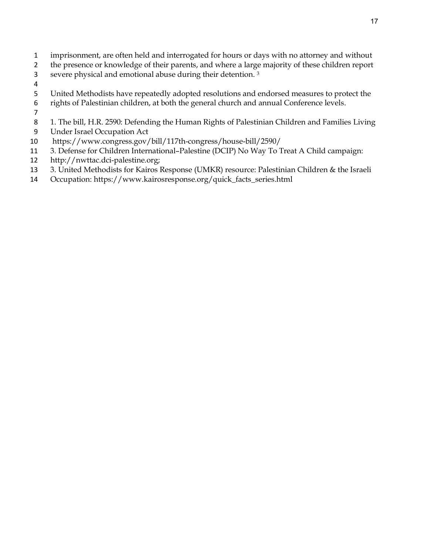- imprisonment, are often held and interrogated for hours or days with no attorney and without
- 2 the presence or knowledge of their parents, and where a large majority of these children report
- severe physical and emotional abuse during their detention.<sup>3</sup>
- 
- United Methodists have repeatedly adopted resolutions and endorsed measures to protect the
- rights of Palestinian children, at both the general church and annual Conference levels.
- 
- 1. The bill, H.R. 2590: Defending the Human Rights of Palestinian Children and Families Living
- Under Israel Occupation Act
- https://www.congress.gov/bill/117th-congress/house-bill/2590/
- 3. Defense for Children International–Palestine (DCIP) No Way To Treat A Child campaign:
- http://nwttac.dci-palestine.org;
- 3. United Methodists for Kairos Response (UMKR) resource: Palestinian Children & the Israeli
- Occupation: https://www.kairosresponse.org/quick\_facts\_series.html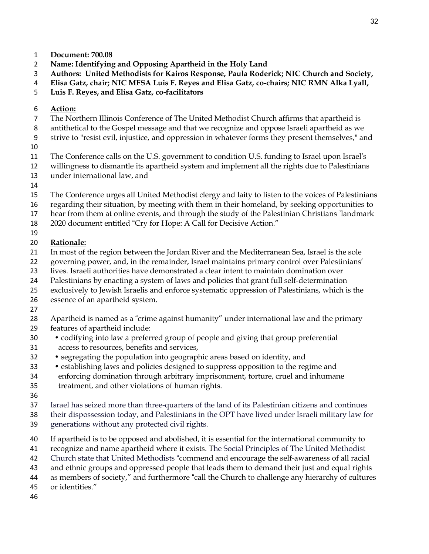- **Document: 700.08**
- **Name: Identifying and Opposing Apartheid in the Holy Land**
- **Authors: United Methodists for Kairos Response, Paula Roderick; NIC Church and Society,**
- **Elisa Gatz, chair; NIC MFSA Luis F. Reyes and Elisa Gatz, co-chairs; NIC RMN Alka Lyall,**
- **Luis F. Reyes, and Elisa Gatz, co-facilitators**
- **Action:**
- The Northern Illinois Conference of The United Methodist Church affirms that apartheid is
- antithetical to the Gospel message and that we recognize and oppose Israeli apartheid as we
- strive to "resist evil, injustice, and oppression in whatever forms they present themselves," and
- 
- The Conference calls on the U.S. government to condition U.S. funding to Israel upon Israel's
- willingness to dismantle its apartheid system and implement all the rights due to Palestinians
- under international law, and
- 
- The Conference urges all United Methodist clergy and laity to listen to the voices of Palestinians
- regarding their situation, by meeting with them in their homeland, by seeking opportunities to
- hear from them at online events, and through the study of the Palestinian Christians 'landmark
- 2020 document entitled "Cry for Hope: A Call for Decisive Action."
- 

# **Rationale:**

- In most of the region between the Jordan River and the Mediterranean Sea, Israel is the sole
- 22 governing power, and, in the remainder, Israel maintains primary control over Palestinians'
- lives. Israeli authorities have demonstrated a clear intent to maintain domination over
- Palestinians by enacting a system of laws and policies that grant full self-determination
- exclusively to Jewish Israelis and enforce systematic oppression of Palestinians, which is the
- essence of an apartheid system.
- 
- Apartheid is named as a "crime against humanity" under international law and the primary
- features of apartheid include:
- codifying into law a preferred group of people and giving that group preferential
- access to resources, benefits and services,
- segregating the population into geographic areas based on identity, and
- establishing laws and policies designed to suppress opposition to the regime and
- enforcing domination through arbitrary imprisonment, torture, cruel and inhumane
- treatment, and other violations of human rights.
- 
- Israel has seized more than three-quarters of the land of its Palestinian citizens and continues
- their dispossession today, and Palestinians in the OPT have lived under Israeli military law for
- generations without any protected civil rights.
- If apartheid is to be opposed and abolished, it is essential for the international community to
- recognize and name apartheid where it exists. The Social Principles of The United Methodist
- Church state that United Methodists "commend and encourage the self-awareness of all racial
- and ethnic groups and oppressed people that leads them to demand their just and equal rights
- as members of society," and furthermore "call the Church to challenge any hierarchy of cultures
- or identities."
-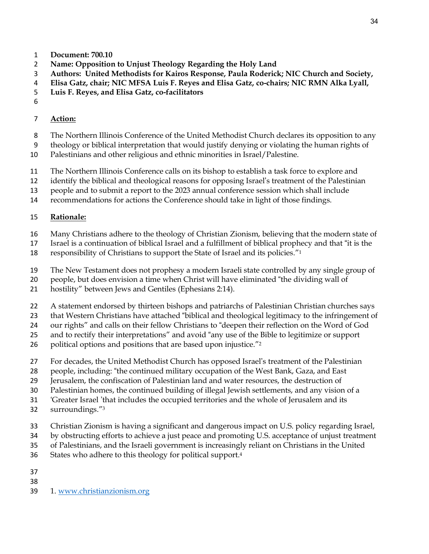- **Document: 700.10**
- **Name: Opposition to Unjust Theology Regarding the Holy Land**
- **Authors: United Methodists for Kairos Response, Paula Roderick; NIC Church and Society,**
- **Elisa Gatz, chair; NIC MFSA Luis F. Reyes and Elisa Gatz, co-chairs; NIC RMN Alka Lyall,**
- **Luis F. Reyes, and Elisa Gatz, co-facilitators**
- 

## **Action:**

- The Northern Illinois Conference of the United Methodist Church declares its opposition to any
- theology or biblical interpretation that would justify denying or violating the human rights of
- Palestinians and other religious and ethnic minorities in Israel/Palestine.
- The Northern Illinois Conference calls on its bishop to establish a task force to explore and
- identify the biblical and theological reasons for opposing Israel's treatment of the Palestinian
- people and to submit a report to the 2023 annual conference session which shall include
- recommendations for actions the Conference should take in light of those findings.

## **Rationale:**

- Many Christians adhere to the theology of Christian Zionism, believing that the modern state of
- Israel is a continuation of biblical Israel and a fulfillment of biblical prophecy and that "it is the
- responsibility of Christians to support the State of Israel and its policies."1
- The New Testament does not prophesy a modern Israeli state controlled by any single group of
- people, but does envision a time when Christ will have eliminated "the dividing wall of
- hostility" between Jews and Gentiles (Ephesians 2:14).
- A statement endorsed by thirteen bishops and patriarchs of Palestinian Christian churches says
- that Western Christians have attached "biblical and theological legitimacy to the infringement of
- our rights" and calls on their fellow Christians to "deepen their reflection on the Word of God
- and to rectify their interpretations" and avoid "any use of the Bible to legitimize or support
- 26 political options and positions that are based upon injustice."<sup>2</sup>
- For decades, the United Methodist Church has opposed Israel's treatment of the Palestinian
- people, including: "the continued military occupation of the West Bank, Gaza, and East
- Jerusalem, the confiscation of Palestinian land and water resources, the destruction of
- Palestinian homes, the continued building of illegal Jewish settlements, and any vision of a
- 'Greater Israel 'that includes the occupied territories and the whole of Jerusalem and its
- surroundings."3
- Christian Zionism is having a significant and dangerous impact on U.S. policy regarding Israel,
- by obstructing efforts to achieve a just peace and promoting U.S. acceptance of unjust treatment
- of Palestinians, and the Israeli government is increasingly reliant on Christians in the United
- 36 States who adhere to this theology for political support.<sup>4</sup>
- 
- 
- 1. [www.christianzionism.org](http://www.christianzionism.org/)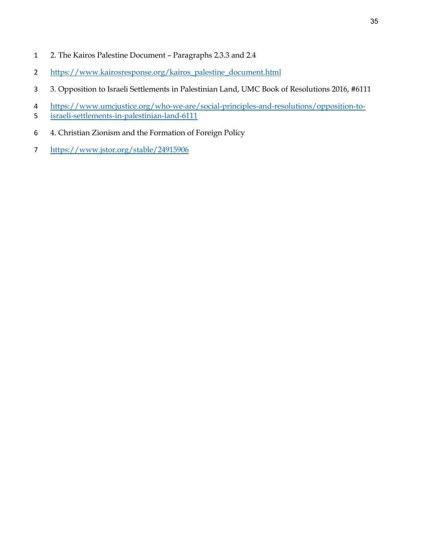- 2. The Kairos Palestine Document Paragraphs 2.3.3 and 2.4
- [https://www.kairosresponse.org/kairos\\_palestine\\_document.html](https://www.kairosresponse.org/kairos_palestine_document.html)
- 3. Opposition to Israeli Settlements in Palestinian Land, UMC Book of Resolutions 2016, #6111
- [https://www.umcjustice.org/who-we-are/social-principles-and-resolutions/opposition-to-](https://www.umcjustice.org/who-we-are/social-principles-and-resolutions/opposition-to-israeli-settlements-in-palestinian-land-6111)
- [israeli-settlements-in-palestinian-land-6111](https://www.umcjustice.org/who-we-are/social-principles-and-resolutions/opposition-to-israeli-settlements-in-palestinian-land-6111)
- 4. Christian Zionism and the Formation of Foreign Policy
- <https://www.jstor.org/stable/24915906>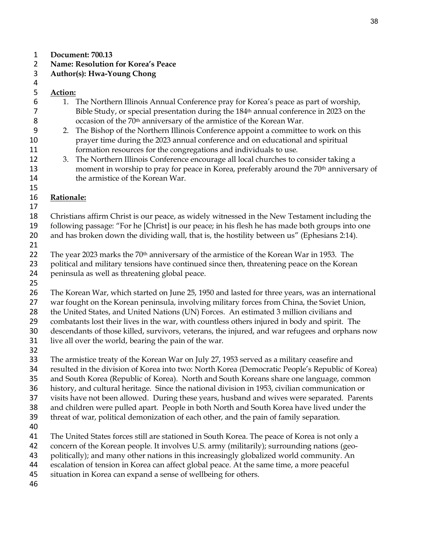#### **Document: 700.13**

### **Name: Resolution for Korea's Peace**

**Author(s): Hwa-Young Chong**

### 

# **Action:**

- 1. The Northern Illinois Annual Conference pray for Korea's peace as part of worship, Bible Study, or special presentation during the 184th annual conference in 2023 on the occasion of the 70th anniversary of the armistice of the Korean War.
- 2. The Bishop of the Northern Illinois Conference appoint a committee to work on this prayer time during the 2023 annual conference and on educational and spiritual formation resources for the congregations and individuals to use.
- 3. The Northern Illinois Conference encourage all local churches to consider taking a 13 moment in worship to pray for peace in Korea, preferably around the 70<sup>th</sup> anniversary of 14 the armistice of the Korean War.

### **Rationale:**

Christians affirm Christ is our peace, as widely witnessed in the New Testament including the

- following passage: "For he [Christ] is our peace; in his flesh he has made both groups into one 20 and has broken down the dividing wall, that is, the hostility between us" (Ephesians 2:14).
- 

22 The year 2023 marks the 70<sup>th</sup> anniversary of the armistice of the Korean War in 1953. The 23 political and military tensions have continued since then, threatening peace on the Korean

- peninsula as well as threatening global peace.
- 

The Korean War, which started on June 25, 1950 and lasted for three years, was an international

27 war fought on the Korean peninsula, involving military forces from China, the Soviet Union,

28 the United States, and United Nations (UN) Forces. An estimated 3 million civilians and

combatants lost their lives in the war, with countless others injured in body and spirit. The

descendants of those killed, survivors, veterans, the injured, and war refugees and orphans now

- live all over the world, bearing the pain of the war.
- 

 The armistice treaty of the Korean War on July 27, 1953 served as a military ceasefire and resulted in the division of Korea into two: North Korea (Democratic People's Republic of Korea) and South Korea (Republic of Korea). North and South Koreans share one language, common history, and cultural heritage. Since the national division in 1953, civilian communication or visits have not been allowed. During these years, husband and wives were separated. Parents and children were pulled apart. People in both North and South Korea have lived under the

threat of war, political demonization of each other, and the pain of family separation.

The United States forces still are stationed in South Korea. The peace of Korea is not only a

concern of the Korean people. It involves U.S. army (militarily); surrounding nations (geo-

- politically); and many other nations in this increasingly globalized world community. An
- escalation of tension in Korea can affect global peace. At the same time, a more peaceful

situation in Korea can expand a sense of wellbeing for others.